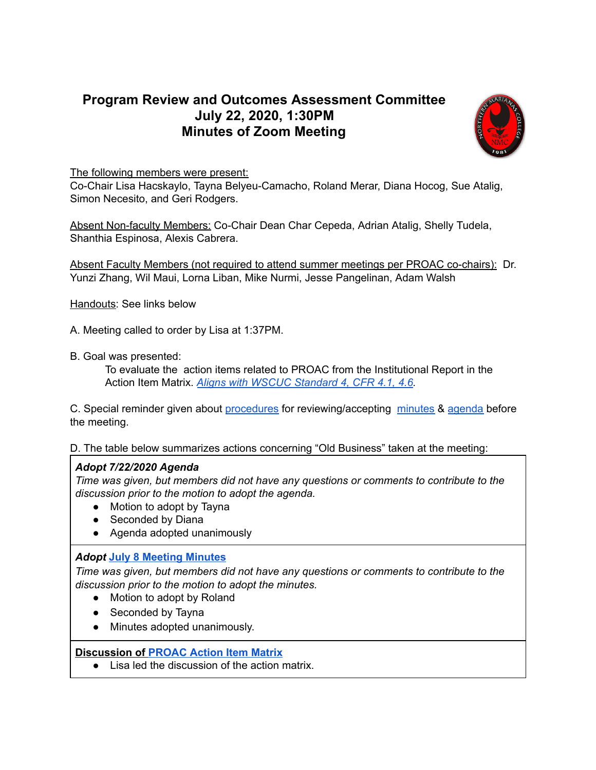## **Program Review and Outcomes Assessment Committee July 22, 2020, 1:30PM Minutes of Zoom Meeting**



The following members were present:

Co-Chair Lisa Hacskaylo, Tayna Belyeu-Camacho, Roland Merar, Diana Hocog, Sue Atalig, Simon Necesito, and Geri Rodgers.

Absent Non-faculty Members: Co-Chair Dean Char Cepeda, Adrian Atalig, Shelly Tudela, Shanthia Espinosa, Alexis Cabrera.

Absent Faculty Members (not required to attend summer meetings per PROAC co-chairs): Dr. Yunzi Zhang, Wil Maui, Lorna Liban, Mike Nurmi, Jesse Pangelinan, Adam Walsh

Handouts: See links below

A. Meeting called to order by Lisa at 1:37PM.

B. Goal was presented:

To evaluate the action items related to PROAC from the Institutional Report in the Action Item Matrix. *Aligns with WSCUC [Standard](https://drive.google.com/file/d/15ccGFpz-IWDsvssbi4Fu4LY_ZjN49pDd/view?usp=sharing) 4, CFR 4.1, 4.6.*

C. Special reminder given about [procedures](https://docs.google.com/document/d/1Or4JYl7CNxR1ZqWycYlxz_EGcjCsW1znzIlqapovI80/edit) for reviewing/accepting [minutes](https://docs.google.com/spreadsheets/d/1L92vqfH536K0Z84EzTS227xi5lSIpz-BYKy56QUsuuo/edit?usp=sharing) & [agenda](https://docs.google.com/spreadsheets/d/1sUtcSXbbPb9Gdl3HbtMTderZ5e57dJuV0Jv3WtlZAK8/edit?usp=sharing) before the meeting.

D. The table below summarizes actions concerning "Old Business" taken at the meeting:

## *Adopt 7/22/2020 Agenda*

*Time was given, but members did not have any questions or comments to contribute to the discussion prior to the motion to adopt the agenda.*

- Motion to adopt by Tayna
- Seconded by Diana
- Agenda adopted unanimously

## *Adopt* **July 8 [Meeting](https://drive.google.com/file/d/1hleFZc1zVETaYKlyXb8pgYtEpx2pW9GS/view?usp=sharing) Minutes**

*Time was given, but members did not have any questions or comments to contribute to the discussion prior to the motion to adopt the minutes.*

- Motion to adopt by Roland
- Seconded by Tayna
- Minutes adopted unanimously.

## **Discussion of [PROAC](https://docs.google.com/document/d/1vKD0vIusD81xsZFdTpeIkzNun_0jSOr5RU2HOgiRBdo/edit) Action Item Matrix**

● Lisa led the discussion of the action matrix